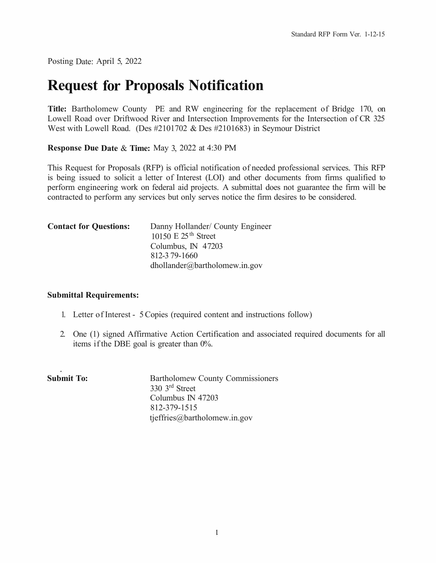Posting Date: April 5, 2022

# **Request for Proposals Notification**

**Title:** Bartholomew County PE and RW engineering for the replacement of Bridge 170, on Lowell Road over Driftwood River and Intersection Improvements for the Intersection of CR 325 West with Lowell Road. (Des #2101702 & Des #2101683) in Seymour District

**Response Due Date** & **Time:** May 3, 2022 at 4:30 PM

This Request for Proposals (RFP) is official notification of needed professional services. This RFP is being issued to solicit a letter of Interest (LOI) and other documents from firms qualified to perform engineering work on federal aid projects. A submittal does not guarantee the firm will be contracted to perform any services but only serves notice the firm desires to be considered.

| <b>Contact for Questions:</b> | Danny Hollander/ County Engineer<br>10150 E $25th$ Street |
|-------------------------------|-----------------------------------------------------------|
|                               | Columbus, IN 47203                                        |
|                               | 812-379-1660                                              |
|                               | dhollander@bartholomew.in.gov                             |

### **Submittal Requirements:**

- 1. Letter of Interest 5 Copies (required content and instructions follow)
- 2. One (1) signed Affirmative Action Certification and associated required documents for all items if the DBE goal is greater than 0%.

| <b>Bartholomew County Commissioners</b> |
|-----------------------------------------|
| $330 \,$ 3 <sup>rd</sup> Street         |
| Columbus IN 47203                       |
| 812-379-1515                            |
| tjeffries@bartholomew.in.gov            |
|                                         |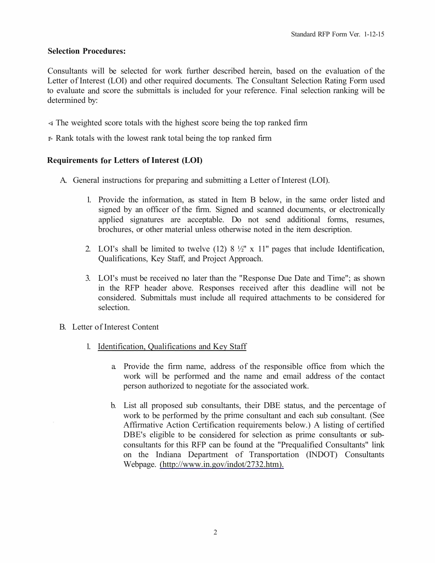### **Selection Procedures:**

Consultants will be selected for work further described herein, based on the evaluation of the Letter of Interest (LOI) and other required documents. The Consultant Selection Rating Form used to evaluate and score the submittals is included for your reference. Final selection ranking will be determined by:

- **<i** The weighted score totals with the highest score being the top ranked firm
- r- Rank totals with the lowest rank total being the top ranked firm

### **Requirements for Letters of Interest (LOI)**

- A. General instructions for preparing and submitting a Letter of Interest (LOI).
	- 1. Provide the information, as stated in Item B below, in the same order listed and signed by an officer of the firm. Signed and scanned documents, or electronically applied signatures are acceptable. Do not send additional forms, resumes, brochures, or other material unless otherwise noted in the item description.
	- 2. LOI's shall be limited to twelve  $(12)$  8  $\frac{1}{2}$ " x 11" pages that include Identification, Qualifications, Key Staff, and Project Approach.
	- 3. LOI's must be received no later than the "Response Due Date and Time"; as shown in the RFP header above. Responses received after this deadline will not be considered. Submittals must include all required attachments to be considered for selection.
- B. Letter of Interest Content
	- 1. Identification, Qualifications and Key Staff
		- a. Provide the firm name, address of the responsible office from which the work will be performed and the name and email address of the contact person authorized to negotiate for the associated work.
		- b. List all proposed sub consultants, their DBE status, and the percentage of work to be performed by the prime consultant and each sub consultant. (See Affirmative Action Certification requirements below.) A listing of certified DBE's eligible to be considered for selection as prime consultants or subconsultants for this RFP can be found at the "Prequalified Consultants" link on the Indiana Department of Transportation (INDOT) Consultants Webpage. (http://www.in.gov/indot/2732.htm).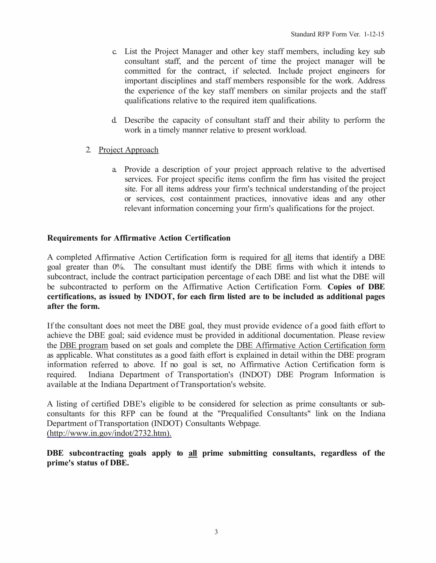- c. List the Project Manager and other key staff members, including key sub consultant staff, and the percent of time the project manager will be committed for the contract, if selected. Include project engineers for important disciplines and staff members responsible for the work. Address the experience of the key staff members on similar projects and the staff qualifications relative to the required item qualifications.
- d. Describe the capacity of consultant staff and their ability to perform the work in a timely manner relative to present workload.
- 2. Project Approach
	- a. Provide a description of your project approach relative to the advertised services. For project specific items confirm the firm has visited the project site. For all items address your firm's technical understanding of the project or services, cost containment practices, innovative ideas and any other relevant information concerning your firm's qualifications for the project.

### **Requirements for Affirmative Action Certification**

A completed Affirmative Action Certification form is required for all items that identify a DBE goal greater than 0%. The consultant must identify the DBE firms with which it intends to subcontract, include the contract participation percentage of each DBE and list what the DBE will be subcontracted to perform on the Affirmative Action Certification Form. **Copies of DBE certifications, as issued by INDOT, for each firm listed are to be included as additional pages after the form.** 

If the consultant does not meet the DBE goal, they must provide evidence of a good faith effort to achieve the DBE goal; said evidence must be provided in additional documentation. Please review the DBE program based on set goals and complete the DBE Affirmative Action Certification form as applicable. What constitutes as a good faith effort is explained in detail within the DBE program information referred to above. If no goal is set, no Affirmative Action Certification form is required. Indiana Department of Transportation's (INDOT) DBE Program Information is available at the Indiana Department of Transportation's website.

A listing of certified DBE's eligible to be considered for selection as prime consultants or subconsultants for this RFP can be found at the "Prequalified Consultants" link on the Indiana Department of Transportation (INDOT) Consultants Webpage. (http://www.in.gov/indot/2732.htm).

**DBE subcontracting goals apply to all prime submitting consultants, regardless of the prime's status of DBE.**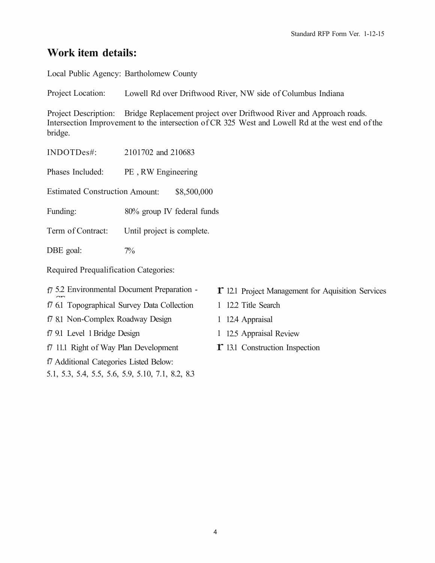# **Work item details:**

Local Public Agency: Bartholomew County

Project Location: Lowell Rd over Driftwood River, NW side of Columbus Indiana

Project Description: Bridge Replacement project over Driftwood River and Approach roads. Intersection Improvement to the intersection of CR 325 West and Lowell Rd at the west end of the bridge.

INDOTDes#: 2101702 and 210683

Phases Included: PE, RW Engineering

Estimated Construction Amount: \$8,500,000

Funding: 80% group IV federal funds

Term of Contract: Until project is complete.

DBE goal: 7%

Required Prequalification Categories:

f7 5.2 Environmental Document Preparation -

f7 6.1 Topographical Survey Data Collection

f7 8.1 Non-Complex Roadway Design

f7 9.1 Level 1 Bridge Design

f7 11.1 Right of Way Plan Development

f7 Additional Categories Listed Below:

5.1, 5.3, 5.4, 5.5, 5.6, 5.9, 5.10, 7.1, 8.2, 8.3

- **T** 12.1 Project Management for Aquisition Services
- 1 12.2 Title Search
- 1 12.4 Appraisal
- 1 12.5 Appraisal Review
- r 13.1 Construction Inspection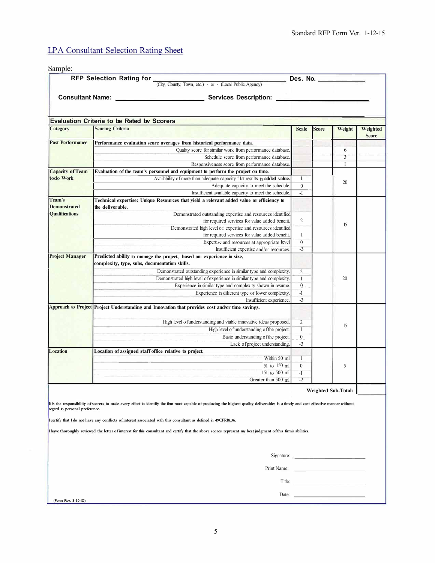## **LPA Consultant Selection Rating Sheet**

| Sample:                                                                             |                                                                                                                                                                                         |                          |              |                     |              |
|-------------------------------------------------------------------------------------|-----------------------------------------------------------------------------------------------------------------------------------------------------------------------------------------|--------------------------|--------------|---------------------|--------------|
| RFP Selection Rating for<br>(City, County, Town, etc.) - or - (Local Public Agency) |                                                                                                                                                                                         |                          |              | Des. No.            |              |
|                                                                                     |                                                                                                                                                                                         |                          |              |                     |              |
|                                                                                     | Consultant Name: Services Description:                                                                                                                                                  |                          |              |                     |              |
|                                                                                     |                                                                                                                                                                                         |                          |              |                     |              |
|                                                                                     | <b>Evaluation Criteria to be Rated by Scorers</b>                                                                                                                                       |                          |              |                     |              |
| <b>Category</b>                                                                     | <b>Scoring Criteria</b>                                                                                                                                                                 | <b>Scale</b>             | <b>Score</b> | Weight              | Weighted     |
|                                                                                     |                                                                                                                                                                                         |                          |              |                     | <b>Score</b> |
| <b>Past Performance</b>                                                             | Performance evaluation score averages from historical performance data.                                                                                                                 |                          |              |                     |              |
|                                                                                     | Quality score for similar work from performance database                                                                                                                                |                          |              | 6                   |              |
|                                                                                     | Schedule score from performance database                                                                                                                                                |                          |              | 3                   |              |
|                                                                                     | Responsiveness score from performance database                                                                                                                                          |                          |              | I                   |              |
| <b>Capacity of Team</b>                                                             | Evaluation of the team's personnel and equipment to perform the project on time.                                                                                                        |                          |              |                     |              |
| todo Work                                                                           | Availability of more than adequate capacity tllat results in added value.                                                                                                               | I                        |              | 20                  |              |
|                                                                                     | Adequate capacity to meet the schedule.<br>Insufficient available capacity to meet the schedule.                                                                                        | $\boldsymbol{0}$<br>$-I$ |              |                     |              |
| Team's                                                                              | Technical expertise: Unique Resources that yield a relevant added value or efficiency to                                                                                                |                          |              |                     |              |
| <b>Demonstrated</b>                                                                 | the deliverable.                                                                                                                                                                        |                          |              |                     |              |
| <b>Qualifications</b>                                                               | Demonstrated outstanding expertise and resources identified                                                                                                                             |                          |              |                     |              |
|                                                                                     | for required services for value added benefit.<br>Demonstrated high level of expertise and resources identified                                                                         | 2                        |              | 15                  |              |
|                                                                                     | for required services for value added benefit.                                                                                                                                          | Ι                        |              |                     |              |
|                                                                                     | Expertise and resources at appropriate level                                                                                                                                            | $\boldsymbol{0}$         |              |                     |              |
|                                                                                     | Insufficient expertise and/or resources                                                                                                                                                 | $-3$                     |              |                     |              |
| <b>Project Manager</b>                                                              | Predicted ability to manage the project, based on: experience in size,                                                                                                                  |                          |              |                     |              |
|                                                                                     | complexity, type, subs, documentation skills.                                                                                                                                           |                          |              | 20                  |              |
|                                                                                     | Demonstrated outstanding experience in similar type and complexity.                                                                                                                     | 2                        |              |                     |              |
|                                                                                     | Demonstrated high level of experience in similar type and complexity.                                                                                                                   | $\mathbf I$              |              |                     |              |
|                                                                                     | Experience in similar type and complexity shown in resume.                                                                                                                              | $\overline{0}$           |              |                     |              |
|                                                                                     | Experience in dilferent type or lower complexity.                                                                                                                                       | $-1$                     |              |                     |              |
|                                                                                     | Insufficient experience                                                                                                                                                                 | $-3$                     |              |                     |              |
|                                                                                     | Approach to Project Project Understanding and Innovation that provides cost and/or time savings.                                                                                        |                          |              |                     |              |
|                                                                                     | High level ofunderstanding and viable innovative ideas proposed                                                                                                                         | 2                        |              |                     |              |
|                                                                                     | High level o funderstanding o fthe project.                                                                                                                                             | I                        |              | 15                  |              |
|                                                                                     | Basic understanding of the project.                                                                                                                                                     | $\overline{0}$           |              |                     |              |
|                                                                                     | Lack of project understanding                                                                                                                                                           | $-3$                     |              |                     |              |
| <b>Location</b>                                                                     | Location of assigned staff office relative to project.                                                                                                                                  |                          |              |                     |              |
|                                                                                     | Within 50 ml                                                                                                                                                                            | Ι                        |              |                     |              |
|                                                                                     | 51 to 150 ml                                                                                                                                                                            | $\mathbf{0}$             |              | 5                   |              |
|                                                                                     | 151 to 500 ml                                                                                                                                                                           | -I                       |              |                     |              |
|                                                                                     | Greater than 500 ml                                                                                                                                                                     | $-2$                     |              |                     |              |
|                                                                                     |                                                                                                                                                                                         |                          |              | Weighted Sub-Total: |              |
|                                                                                     |                                                                                                                                                                                         |                          |              |                     |              |
|                                                                                     | It is the responsibility of scorers to make every effort to identify the firm roost capable of producing the highest quality deliverables in a timely and cost effective manner without |                          |              |                     |              |
| regard to personal preference.                                                      |                                                                                                                                                                                         |                          |              |                     |              |
|                                                                                     | I certify that I do not have any conflicts of interest associated with this consultant as defined in 49CFRI8.36.                                                                        |                          |              |                     |              |
|                                                                                     | I have thoroughly reviewed the letter of interest for this consultant and certify that the above scores represent my best judgment of this firm's abilities.                            |                          |              |                     |              |
|                                                                                     |                                                                                                                                                                                         |                          |              |                     |              |
|                                                                                     |                                                                                                                                                                                         |                          |              |                     |              |
|                                                                                     | Signature:                                                                                                                                                                              |                          |              |                     |              |
|                                                                                     | Print Name:                                                                                                                                                                             |                          |              |                     |              |
|                                                                                     | Title:                                                                                                                                                                                  |                          |              |                     |              |
|                                                                                     |                                                                                                                                                                                         |                          |              |                     |              |
| (Fonn Rev. 3-30-IO)                                                                 | Date:                                                                                                                                                                                   |                          |              |                     |              |